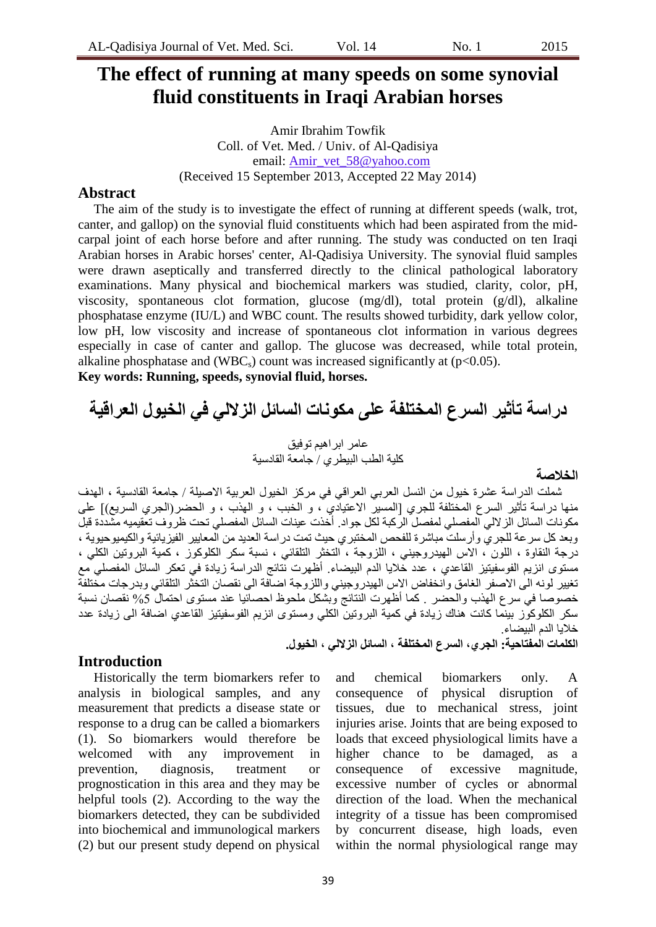# **The effect of running at many speeds on some synovial fluid constituents in Iraqi Arabian horses**

Amir Ibrahim Towfik Coll. of Vet. Med. / Univ. of Al-Qadisiya email: Amir\_vet\_58@yahoo.com (Received 15 September 2013, Accepted 22 May 2014)

### **Abstract**

The aim of the study is to investigate the effect of running at different speeds (walk, trot, canter, and gallop) on the synovial fluid constituents which had been aspirated from the midcarpal joint of each horse before and after running. The study was conducted on ten Iraqi Arabian horses in Arabic horses' center, Al-Qadisiya University. The synovial fluid samples were drawn aseptically and transferred directly to the clinical pathological laboratory examinations. Many physical and biochemical markers was studied, clarity, color, pH, viscosity, spontaneous clot formation, glucose (mg/dl), total protein (g/dl), alkaline phosphatase enzyme (IU/L) and WBC count. The results showed turbidity, dark yellow color, low pH, low viscosity and increase of spontaneous clot information in various degrees especially in case of canter and gallop. The glucose was decreased, while total protein, alkaline phosphatase and (WBC<sub>s</sub>) count was increased significantly at ( $p<0.05$ ).

**Key words: Running, speeds, synovial fluid, horses.**

# **دراسة تأثير انسرع انمختهفة عهى مكونات انسائم انزالنً فً انخيول انعراقية**

عامر ابراهيم توفيق كلية الطب البيطر ي / جامعة القادسية

**انخالصة** 

شملت الدراسة عشرة خيول من النسل العربي العراقي في مركز الخيول العربية الاصيلة / جامعة القادسية ، الهدف منها دراسة نأثير السرع المختلفة للجري [المسيرُ الاعتيادي ٌ، و الخبب ، و الهذب ، و الحضر(الجري السريع)] على مكونات السائل الزلالي المفصلي لمفصل الركبة لكل جواد<sub>.</sub> أخذت عينات السائل المفصلي نحت ظروف نعقيميه مشددة قبل وبعد كل سر عة للجري وأرسلت مباشرة للفحص المختبري حيث نمت دراسة العديد من المعايير الفيزيائية والكيميوحيوية ، درجة النقاوة ، اللون ، الاس الهيدروجيني ، اللزوجة ، التخثر النلقائي ، نسبة سكر الكلوكوز ، كمية البروتين الكلي ، مسّتوى انزيم الفوسفيتيز القاعدي ، عدد خلايا الدّم البيضاء. أظهرت نُتائج الدراسة زيادة في تعكر السائل المفصلي مع تغيير لونه الى الاصفر الغامق وانخفاض الاس الهيدروجيني واللزوجة اضافة الى نقصان التخثر التلقائي وبدرجات مختلفة خصوصا في سرع الهذب والحضر كما أظهرت النتائج وبشكل ملحوظ احصائيا عند مستوى احتمال 5% نقصان نسبة سكر الكلوكوَّر ببَنِما كانت هُناك زيَّادة في كمية البرونين الكلي ومستوى انزيم الفوسفيتيز القاعدي اضافة الى زيادة عدد خلايا الدم البيضاء.

**انكهمات انمفتاحية: انجري، انسرع انمختهفة ، انسائم انزالنً ، انخيول.**

## **Introduction**

Historically the term biomarkers refer to analysis in biological samples, and any measurement that predicts a disease state or response to a drug can be called a biomarkers (1). So biomarkers would therefore be welcomed with any improvement in prevention, diagnosis, treatment or prognostication in this area and they may be helpful tools (2). According to the way the biomarkers detected, they can be subdivided into biochemical and immunological markers (2) but our present study depend on physical

and chemical biomarkers only. A consequence of physical disruption of tissues, due to mechanical stress, joint injuries arise. Joints that are being exposed to loads that exceed physiological limits have a higher chance to be damaged, as a consequence of excessive magnitude, excessive number of cycles or abnormal direction of the load. When the mechanical integrity of a tissue has been compromised by concurrent disease, high loads, even within the normal physiological range may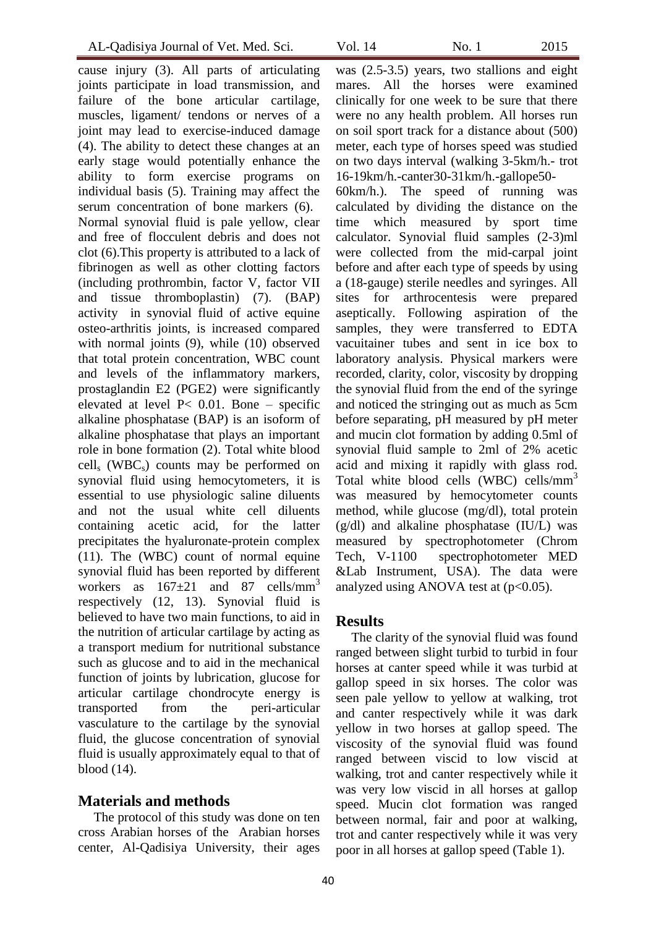cause injury (3). All parts of articulating joints participate in load transmission, and failure of the bone articular cartilage, muscles, ligament/ tendons or nerves of a joint may lead to exercise-induced damage (4). The ability to detect these changes at an early stage would potentially enhance the ability to form exercise programs on individual basis (5). Training may affect the serum concentration of bone markers (6). Normal synovial fluid is pale yellow, clear and free of flocculent debris and does not clot (6).This property is attributed to a lack of fibrinogen as well as other clotting factors (including prothrombin, factor V, factor VII and tissue thromboplastin) (7). (BAP) activity in synovial fluid of active equine osteo-arthritis joints, is increased compared with normal joints (9), while (10) observed that total protein concentration, WBC count and levels of the inflammatory markers, prostaglandin E2 (PGE2) were significantly elevated at level P< 0.01. Bone – specific alkaline phosphatase (BAP) is an isoform of alkaline phosphatase that plays an important role in bone formation (2). Total white blood  $\text{cell}_s$  (WBC<sub>s</sub>) counts may be performed on synovial fluid using hemocytometers, it is essential to use physiologic saline diluents and not the usual white cell diluents containing acetic acid, for the latter precipitates the hyaluronate-protein complex (11). The (WBC) count of normal equine synovial fluid has been reported by different workers as  $167\pm21$  and 87 cells/mm<sup>3</sup> respectively (12, 13). Synovial fluid is believed to have two main functions, to aid in the nutrition of articular cartilage by acting as a transport medium for nutritional substance such as glucose and to aid in the mechanical function of joints by lubrication, glucose for articular cartilage chondrocyte energy is transported from the peri-articular vasculature to the cartilage by the synovial fluid, the glucose concentration of synovial fluid is usually approximately equal to that of blood (14).

# **Materials and methods**

The protocol of this study was done on ten cross Arabian horses of the Arabian horses center, Al-Qadisiya University, their ages was (2.5-3.5) years, two stallions and eight

mares. All the horses were examined clinically for one week to be sure that there were no any health problem. All horses run on soil sport track for a distance about (500) meter, each type of horses speed was studied on two days interval (walking 3-5km/h.- trot 16-19km/h.-canter30-31km/h.-gallope50-

60km/h.). The speed of running was calculated by dividing the distance on the time which measured by sport time calculator. Synovial fluid samples (2-3)ml were collected from the mid-carpal joint before and after each type of speeds by using a (18-gauge) sterile needles and syringes. All sites for arthrocentesis were prepared aseptically. Following aspiration of the samples, they were transferred to EDTA vacuitainer tubes and sent in ice box to laboratory analysis. Physical markers were recorded, clarity, color, viscosity by dropping the synovial fluid from the end of the syringe and noticed the stringing out as much as 5cm before separating, pH measured by pH meter and mucin clot formation by adding 0.5ml of synovial fluid sample to 2ml of 2% acetic acid and mixing it rapidly with glass rod. Total white blood cells (WBC) cells/ $mm<sup>3</sup>$ was measured by hemocytometer counts method, while glucose (mg/dl), total protein (g/dl) and alkaline phosphatase (IU/L) was measured by spectrophotometer (Chrom Tech, V-1100 spectrophotometer MED &Lab Instrument, USA). The data were analyzed using ANOVA test at  $(p<0.05)$ .

## **Results**

The clarity of the synovial fluid was found ranged between slight turbid to turbid in four horses at canter speed while it was turbid at gallop speed in six horses. The color was seen pale yellow to yellow at walking, trot and canter respectively while it was dark yellow in two horses at gallop speed. The viscosity of the synovial fluid was found ranged between viscid to low viscid at walking, trot and canter respectively while it was very low viscid in all horses at gallop speed. Mucin clot formation was ranged between normal, fair and poor at walking, trot and canter respectively while it was very poor in all horses at gallop speed (Table 1).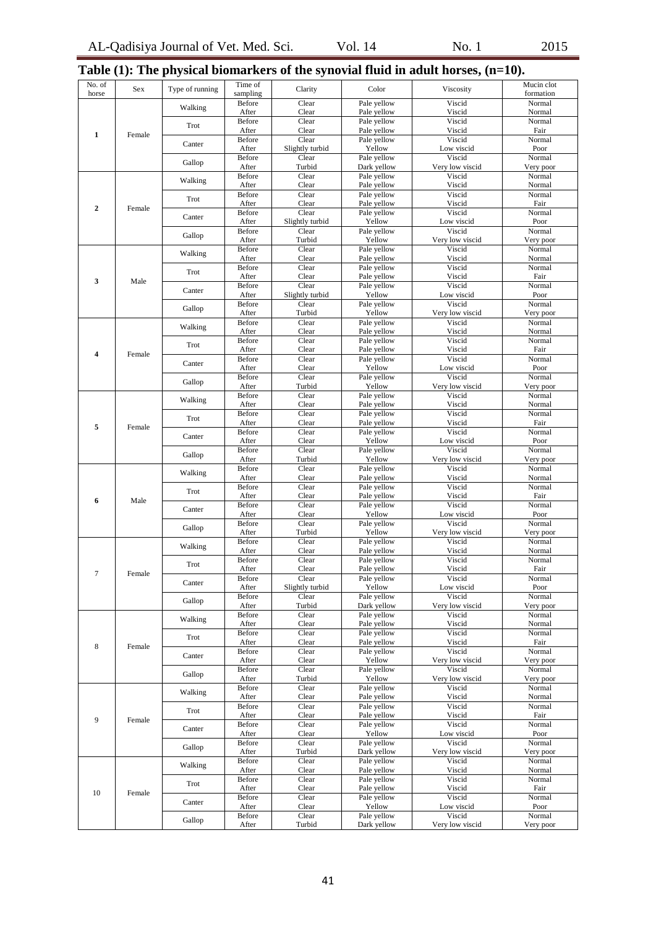|  |  |  |  | Table $(1)$ : The physical biomarkers of the synovial fluid in adult horses, $(n=10)$ . |  |
|--|--|--|--|-----------------------------------------------------------------------------------------|--|
|  |  |  |  |                                                                                         |  |

| No. of<br>horse | Sex    | Type of running | Time of<br>sampling    | Clarity                  | Color                      | Viscosity                 | Mucin clot<br>formation |
|-----------------|--------|-----------------|------------------------|--------------------------|----------------------------|---------------------------|-------------------------|
| $\mathbf{1}$    |        | Walking         | Before<br>After        | Clear<br>Clear           | Pale yellow<br>Pale yellow | Viscid<br>Viscid          | Normal<br>Normal        |
|                 |        | Trot            | Before                 | Clear                    | Pale yellow                | Viscid                    | Normal                  |
|                 | Female | Canter          | After<br>Before        | Clear<br>Clear           | Pale yellow<br>Pale yellow | Viscid<br>Viscid          | Fair<br>Normal          |
|                 |        |                 | After<br>Before        | Slightly turbid<br>Clear | Yellow<br>Pale yellow      | Low viscid<br>Viscid      | Poor<br>Normal          |
|                 |        | Gallop          | After                  | Turbid                   | Dark yellow                | Very low viscid           | Very poor               |
|                 |        | Walking         | Before<br>After        | Clear<br>Clear           | Pale yellow<br>Pale yellow | Viscid<br>Viscid          | Normal<br>Normal        |
| $\overline{2}$  |        | Trot            | Before                 | Clear                    | Pale yellow                | Viscid                    | Normal                  |
|                 | Female | Canter          | After<br>Before        | Clear<br>Clear           | Pale yellow<br>Pale yellow | Viscid<br>Viscid          | Fair<br>Normal          |
|                 |        |                 | After<br>Before        | Slightly turbid<br>Clear | Yellow<br>Pale yellow      | Low viscid<br>Viscid      | Poor<br>Normal          |
|                 |        | Gallop          | After                  | Turbid                   | Yellow                     | Very low viscid           | Very poor               |
|                 |        | Walking         | Before<br>After        | Clear<br>Clear           | Pale yellow<br>Pale yellow | Viscid<br>Viscid          | Normal<br>Normal        |
|                 |        | Trot            | Before<br>After        | Clear<br>Clear           | Pale yellow<br>Pale yellow | Viscid<br>Viscid          | Normal<br>Fair          |
| 3               | Male   | Canter          | Before                 | Clear                    | Pale yellow                | Viscid                    | Normal                  |
|                 |        |                 | After<br>Before        | Slightly turbid<br>Clear | Yellow<br>Pale yellow      | Low viscid<br>Viscid      | Poor<br>Normal          |
|                 |        | Gallop          | After                  | Turbid<br>Clear          | Yellow                     | Very low viscid<br>Viscid | Very poor<br>Normal     |
|                 |        | Walking         | Before<br>After        | Clear                    | Pale yellow<br>Pale yellow | Viscid                    | Normal                  |
|                 |        | Trot            | <b>Before</b><br>After | Clear<br>Clear           | Pale yellow<br>Pale yellow | Viscid<br>Viscid          | Normal<br>Fair          |
| 4               | Female | Canter          | Before                 | Clear                    | Pale yellow                | Viscid                    | Normal                  |
|                 |        | Gallop          | After<br>Before        | Clear<br>Clear           | Yellow<br>Pale yellow      | Low viscid<br>Viscid      | Poor<br>Normal          |
|                 |        |                 | After<br>Before        | Turbid<br>Clear          | Yellow<br>Pale yellow      | Very low viscid<br>Viscid | Very poor<br>Normal     |
|                 |        | Walking         | After                  | Clear                    | Pale yellow                | Viscid                    | Normal                  |
|                 |        | Trot            | Before<br>After        | Clear<br>Clear           | Pale yellow<br>Pale yellow | Viscid<br>Viscid          | Normal<br>Fair          |
| 5               | Female | Canter          | Before<br>After        | Clear<br>Clear           | Pale yellow<br>Yellow      | Viscid<br>Low viscid      | Normal<br>Poor          |
|                 |        | Gallop          | Before                 | Clear                    | Pale yellow                | Viscid                    | Normal                  |
|                 |        |                 | After<br>Before        | Turbid<br>Clear          | Yellow<br>Pale yellow      | Very low viscid<br>Viscid | Very poor<br>Normal     |
|                 |        | Walking         | After                  | Clear                    | Pale yellow                | Viscid                    | Normal                  |
| 6               | Male   | Trot            | Before<br>After        | Clear<br>Clear           | Pale yellow<br>Pale yellow | Viscid<br>Viscid          | Normal<br>Fair          |
|                 |        | Canter          | <b>Before</b><br>After | Clear<br>Clear           | Pale yellow<br>Yellow      | Viscid<br>Low viscid      | Normal<br>Poor          |
|                 |        | Gallop          | Before                 | Clear                    | Pale yellow                | Viscid                    | Normal                  |
|                 |        | Walking         | After<br>Before        | Turbid<br>Clear          | Yellow<br>Pale yellow      | Very low viscid<br>Viscid | Very poor<br>Normal     |
|                 | Female |                 | After<br>Before        | Clear<br>Clear           | Pale yellow<br>Pale yellow | Viscid<br>Viscid          | Normal<br>Normal        |
| $7\overline{ }$ |        | Trot            | After                  | Clear                    | Pale yellow                | Viscid                    | Fair                    |
|                 |        | Canter          | Before<br>After        | Clear<br>Slightly turbid | Pale yellow<br>Yellow      | Viscid<br>Low viscid      | Normal<br>Poor          |
|                 |        | Gallop          | Before<br>After        | Clear<br>Turbid          | Pale yellow<br>Dark yellow | Viscid<br>Very low viscid | Normal<br>Very poor     |
|                 |        | Walking         | Before                 | Clear                    | Pale yellow                | Viscid                    | Normal                  |
|                 | Female |                 | After<br>Before        | Clear<br>Clear           | Pale yellow<br>Pale yellow | Viscid<br>Viscid          | Normal<br>Normal        |
| 8               |        | Trot            | After<br>Before        | Clear<br>Clear           | Pale yellow<br>Pale yellow | Viscid<br>Viscid          | Fair<br>Normal          |
|                 |        | Canter          | After                  | Clear                    | Yellow                     | Very low viscid           | Very poor               |
|                 |        | Gallop          | Before<br>After        | Clear<br>Turbid          | Pale yellow<br>Yellow      | Viscid<br>Very low viscid | Normal<br>Very poor     |
| 9               | Female | Walking         | Before<br>After        | Clear<br>Clear           | Pale yellow<br>Pale yellow | Viscid<br>Viscid          | Normal<br>Normal        |
|                 |        | Trot            | Before                 | Clear                    | Pale yellow                | Viscid                    | Normal                  |
|                 |        |                 | After<br>Before        | Clear<br>Clear           | Pale yellow<br>Pale yellow | Viscid<br>Viscid          | Fair<br>Normal          |
|                 |        | Canter          | After                  | Clear                    | Yellow                     | Low viscid                | Poor                    |
|                 |        | Gallop          | Before<br>After        | Clear<br>Turbid          | Pale yellow<br>Dark yellow | Viscid<br>Very low viscid | Normal<br>Very poor     |
|                 |        | Walking         | Before<br>After        | Clear<br>Clear           | Pale yellow<br>Pale yellow | Viscid<br>Viscid          | Normal<br>Normal        |
|                 |        | Trot            | Before                 | Clear                    | Pale yellow                | Viscid                    | Normal                  |
| 10              | Female |                 | After<br>Before        | Clear<br>Clear           | Pale yellow<br>Pale yellow | Viscid<br>Viscid          | Fair<br>Normal          |
|                 |        | Canter          | After<br>Before        | Clear<br>Clear           | Yellow<br>Pale yellow      | Low viscid<br>Viscid      | Poor<br>Normal          |
|                 |        | Gallop          | After                  | Turbid                   | Dark yellow                | Very low viscid           | Very poor               |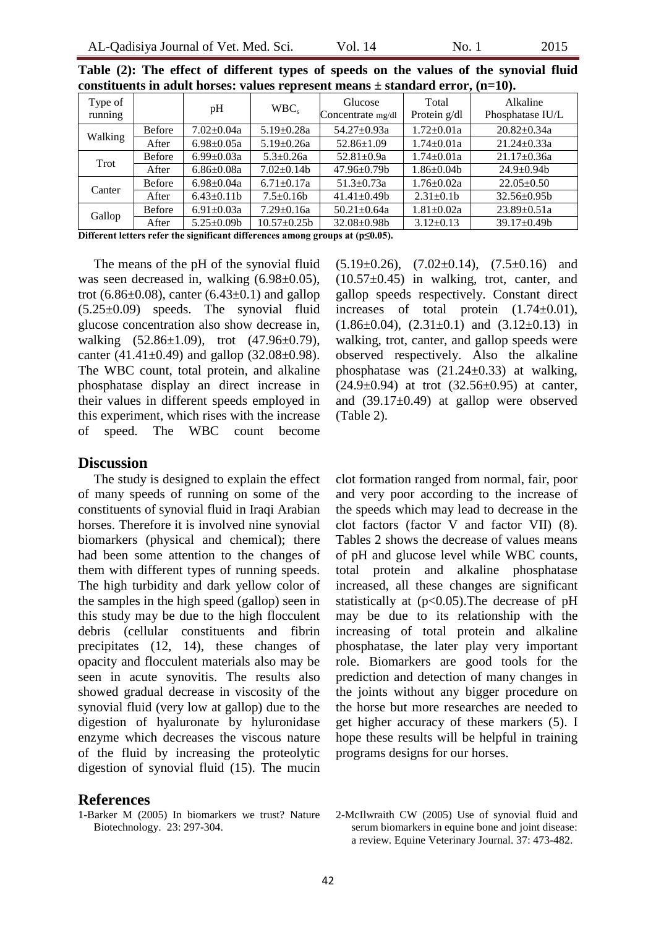| Type of<br>running |               | pH               | $WBC_s$           | Glucose<br>Concentrate mg/dl | Total<br>Protein g/dl | Alkaline<br>Phosphatase IU/L |  |
|--------------------|---------------|------------------|-------------------|------------------------------|-----------------------|------------------------------|--|
| Walking            | <b>Before</b> | $7.02 \pm 0.04a$ | $5.19 \pm 0.28a$  | 54.27±0.93a                  | $1.72 \pm 0.01a$      | $20.82 \pm 0.34a$            |  |
|                    | After         | $6.98 \pm 0.05a$ | $5.19 \pm 0.26a$  | $52.86 \pm 1.09$             | $1.74 \pm 0.01a$      | $21.24 \pm 0.33a$            |  |
| Trot               | <b>Before</b> | $6.99 \pm 0.03a$ | $5.3 \pm 0.26a$   | $52.81 \pm 0.9a$             | $1.74 \pm 0.01a$      | $21.17 \pm 0.36a$            |  |
|                    | After         | $6.86 \pm 0.08a$ | $7.02 \pm 0.14$ b | $47.96 \pm 0.79$             | $1.86 \pm 0.04$       | $24.9 \pm 0.94$              |  |
| Canter             | <b>Before</b> | $6.98 \pm 0.04a$ | $6.71 \pm 0.17a$  | $51.3 \pm 0.73a$             | $1.76 \pm 0.02a$      | $22.05 \pm 0.50$             |  |
|                    | After         | $6.43 \pm 0.11b$ | $7.5 \pm 0.16b$   | $41.41 \pm 0.49$             | $2.31 \pm 0.1$        | $32.56 \pm 0.95b$            |  |
| Gallop             | <b>Before</b> | $6.91 \pm 0.03a$ | $7.29 \pm 0.16a$  | $50.21 \pm 0.64a$            | $1.81 \pm 0.02a$      | $23.89 \pm 0.51a$            |  |
|                    | After         | $5.25 \pm 0.09$  | $10.57 \pm 0.25b$ | 32.08±0.98b                  | $3.12 \pm 0.13$       | $39.17 \pm 0.49$             |  |

**Table (2): The effect of different types of speeds on the values of the synovial fluid constituents in adult horses: values represent means ± standard error, (n=10).**

**Different letters refer the significant differences among groups at (p≤0.05).**

The means of the pH of the synovial fluid was seen decreased in, walking  $(6.98\pm0.05)$ , trot (6.86 $\pm$ 0.08), canter (6.43 $\pm$ 0.1) and gallop (5.25±0.09) speeds. The synovial fluid glucose concentration also show decrease in, walking (52.86±1.09), trot (47.96±0.79), canter  $(41.41\pm0.49)$  and gallop  $(32.08\pm0.98)$ . The WBC count, total protein, and alkaline phosphatase display an direct increase in their values in different speeds employed in this experiment, which rises with the increase of speed. The WBC count become

#### **Discussion**

The study is designed to explain the effect of many speeds of running on some of the constituents of synovial fluid in Iraqi Arabian horses. Therefore it is involved nine synovial biomarkers (physical and chemical); there had been some attention to the changes of them with different types of running speeds. The high turbidity and dark yellow color of the samples in the high speed (gallop) seen in this study may be due to the high flocculent debris (cellular constituents and fibrin precipitates (12, 14), these changes of opacity and flocculent materials also may be seen in acute synovitis. The results also showed gradual decrease in viscosity of the synovial fluid (very low at gallop) due to the digestion of hyaluronate by hyluronidase enzyme which decreases the viscous nature of the fluid by increasing the proteolytic digestion of synovial fluid (15). The mucin

### **References**

1-Barker M (2005) In biomarkers we trust? Nature Biotechnology. 23: 297-304.

 $(5.19\pm0.26)$ ,  $(7.02\pm0.14)$ ,  $(7.5\pm0.16)$  and  $(10.57\pm0.45)$  in walking, trot, canter, and gallop speeds respectively. Constant direct increases of total protein  $(1.74\pm0.01)$ ,  $(1.86\pm0.04)$ ,  $(2.31\pm0.1)$  and  $(3.12\pm0.13)$  in walking, trot, canter, and gallop speeds were observed respectively. Also the alkaline phosphatase was  $(21.24 \pm 0.33)$  at walking,  $(24.9\pm0.94)$  at trot  $(32.56\pm0.95)$  at canter, and  $(39.17\pm0.49)$  at gallop were observed (Table 2).

clot formation ranged from normal, fair, poor and very poor according to the increase of the speeds which may lead to decrease in the clot factors (factor V and factor VII) (8). Tables 2 shows the decrease of values means of pH and glucose level while WBC counts, total protein and alkaline phosphatase increased, all these changes are significant statistically at  $(p<0.05)$ . The decrease of pH may be due to its relationship with the increasing of total protein and alkaline phosphatase, the later play very important role. Biomarkers are good tools for the prediction and detection of many changes in the joints without any bigger procedure on the horse but more researches are needed to get higher accuracy of these markers (5). I hope these results will be helpful in training programs designs for our horses.

2-McIlwraith CW (2005) Use of synovial fluid and serum biomarkers in equine bone and joint disease: a review. Equine Veterinary Journal. 37: 473-482.